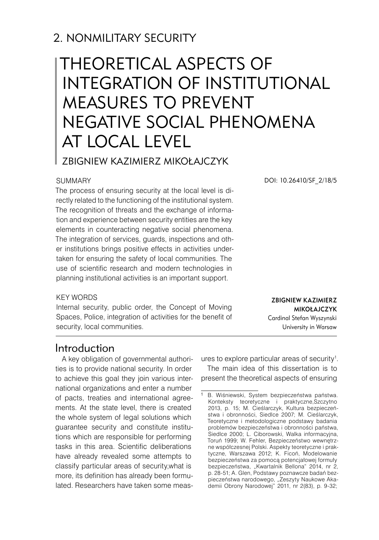## 2. NONMILITARY SECURITY

# Theoretical aspects of integration of institutional measures to prevent negative social phenomena at local level

## Zbigniew Kazimierz Mikołajczyk

#### **SUMMARY**

The process of ensuring security at the local level is directly related to the functioning of the institutional system. The recognition of threats and the exchange of information and experience between security entities are the key elements in counteracting negative social phenomena. The integration of services, guards, inspections and other institutions brings positive effects in activities undertaken for ensuring the safety of local communities. The use of scientific research and modern technologies in planning institutional activities is an important support.

#### KFY WORDS

Internal security, public order, the Concept of Moving Spaces, Police, integration of activities for the benefit of security, local communities.

DOI: 10.26410/SF\_2/18/5

Zbigniew Kazimierz Mikołajczyk Cardinal Stefan Wyszynski University in Warsaw

## Introduction

A key obligation of governmental authorities is to provide national security. In order to achieve this goal they join various international organizations and enter a number of pacts, treaties and international agreements. At the state level, there is created the whole system of legal solutions which guarantee security and constitute institutions which are responsible for performing tasks in this area. Scientific deliberations have already revealed some attempts to classify particular areas of security,what is more, its definition has already been formulated. Researchers have taken some meas-

ures to explore particular areas of security $1$ . The main idea of this dissertation is to present the theoretical aspects of ensuring

B. Wiśniewski, System bezpieczeństwa państwa. Konteksty teoretyczne i praktyczne,Szczytno 2013, p. 15; M. Cieślarczyk, Kultura bezpieczeństwa i obronności, Siedlce 2007; M. Cieślarczyk, Teoretyczne i metodologiczne podstawy badania problemów bezpieczeństwa i obronności państwa, Siedlce 2000; L. Ciborowski, Walka informacyjna, Toruń 1999; W. Fehler, Bezpieczeństwo wewnętrzne współczesnej Polski. Aspekty teoretyczne i praktyczne, Warszawa 2012; K. Ficoń, Modelowanie bezpieczeństwa za pomocą potencjałowej formuły bezpieczeństwa, "Kwartalnik Bellona" 2014, nr 2. p. 28-51; A. Glen, Podstawy poznawcze badań bezpieczeństwa narodowego, "Zeszyty Naukowe Akademii Obrony Narodowej" 2011, nr 2(83), p. 9-32;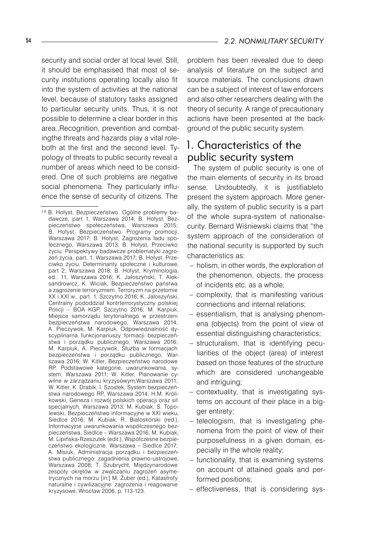security and social order at local level. Still, it should be emphasised that most of security institutions operating locally also fit into the system of activities at the national level, because of statutory tasks assigned to particular security units. Thus, it is not possible to determine a clear border in this area.,Recognition, prevention and combatingthe threats and hazards play a vital roleboth at the first and the second level. Typology of threats to public security reveal a number of areas which need to be considered. One of such problems are negative social phenomena. They particularly influence the sense of security of citizens. The

problem has been revealed due to deep analysis of literature on the subject and source materials. The conclusions drawn can be a subject of interest of law enforcers and also other researchers dealing with the theory of security. A range of precautionary actions have been presented at the background of the public security system.

## 1. Characteristics of the public security system

The system of public security is one of the main elements of security in its broad sense. Undoubtedly, it is justifiableto present the system approach. More generally, the system of public security is a part of the whole supra-system of nationalsecurity. Bernard Wiśniewski claims that "the system approach of the consideration of the national security is supported by such characteristics as:

- holism, in other words, the exploration of the phenomenon, objects, the process of incidents etc. as a whole;
- complexity, that is manifesting various connections and internal relations;
- essentialism, that is analysing phenomena (objects) from the point of view of essential distinguishing characteristics;
- structuralism, that is identifying peculiarities of the object (area) of interest based on those features of the structure which are considered unchangeable and intriguing;
- contextuality, that is investigating systems on account of their place in a bigger entirety;
- teleologism, that is investigating phenomena from the point of view of their purposefulness in a given domain, especially in the whole reality;
- functionality, that is examining systems on account of attained goals and performed positions;
- effectiveness, that is considering sys-

c.d. B. Hołyst, Bezpieczeństwo. Ogólne problemy badawcze, part 1, Warszawa 2014; B. Hołyst, Bezpieczeństwo społeczeństwa, Warszawa 2015; B. Hołyst, Bezpieczeństwo. Programy promocji, Warszawa 2017; B. Hołyst, Zagrożenia ładu społecznego, Warszawa 2013; B. Hołyst, Przeciwko życiu. Perspektywy badawcze problematyki zagrożeń życia, part. 1, Warszawa 2017; B. Hołyst, Przeciwko życiu. Determinanty społeczne i kulturowe, part 2, Warszawa 2018; B. Hołyst, Kryminologia, ed.. 11, Warszawa 2016; K. Jałoszyński, T. Aleksandrowicz, K. Wiciak, Bezpieczeństwo państwa a zagrożenie terroryzmem. Terroryzm na przełomie XX i XXI w., part. 1, Szczytno 2016; K. Jałoszyński, Centralny pododdział kontrterrorystyczny polskiej Policji – BOA KGP, Szczytno 2016; M. Karpiuk, Miejsce samorządu terytorialnego w przestrzeni bezpieczeństwa narodowego, Warszawa 2014; A. Pieczywok, M. Karpiuk, Odpowiedzialność dyscyplinarna funkcjonariuszy formacji bezpieczeństwa i porządku publicznego, Warszawa 2016; M. Karpiuk, A. Pieczywok, Służba w formacjach bezpieczeństwa i porządku publicznego, Warszawa 2016; W. Kitler, Bezpieczeństwo narodowe RP. Podstawowe kategorie, uwarunkowania, system, Warszawa 2011; W. Kitler, Planowanie cywilne w zarządzaniu kryzysowym,Warszawa 2011; W. Kitler, K. Drabik, I. Szostek, System bezpieczeństwa narodowego RP, Warszawa 2014; H.M. Królikowski, Geneza i rozwój polskich operacji oraz sił specjalnych, Warszawa 2013; M. Kubiak, S. Topolewski, Bezpieczeństwo informacyjne w XXI wieku, Siedlce 2016; M. Kubiak, R. Białoskórski (red.), Informacyjne uwarunkowania współczesnego bezpieczeństwa, Siedlce – Warszawa 2016; M. Kubiak, M. Lipińska-Rzeszutek (edit.), Współczesne bezpieczeństwo ekologiczne, Warszawa – Siedlce 2017; A. Misiuk, Administracja porządku i bezpieczeństwa publicznego: zagadnienia prawno-ustrojowe, Warszawa 2008; T. Szubrycht, Międzynarodowe zespoły okrętów w zwalczaniu zagrożeń asymetrycznych na morzu [in:] M. Żuber (ed.), Katastrofy naturalne i cywilizacyjne: zagrożenia i reagowanie kryzysowe, Wrocław 2006, p. 113-123.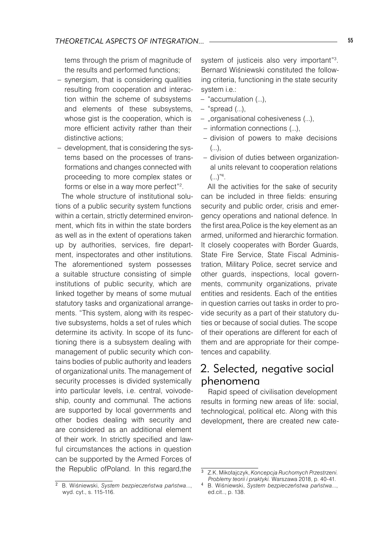tems through the prism of magnitude of the results and performed functions;

- synergism, that is considering qualities resulting from cooperation and interaction within the scheme of subsystems and elements of these subsystems, whose gist is the cooperation, which is more efficient activity rather than their distinctive actions; –
- development, that is considering the systems based on the processes of transformations and changes connected with proceeding to more complex states or forms or else in a way more perfect"<sup>2</sup> .

The whole structure of institutional solutions of a public security system functions within a certain, strictly determined environment, which fits in within the state borders as well as in the extent of operations taken up by authorities, services, fire department, inspectorates and other institutions. The aforementioned system possesses a suitable structure consisting of simple institutions of public security, which are linked together by means of some mutual statutory tasks and organizational arrangements. "This system, along with its respective subsystems, holds a set of rules which determine its activity. In scope of its functioning there is a subsystem dealing with management of public security which contains bodies of public authority and leaders of organizational units. The management of security processes is divided systemically into particular levels, i.e. central, voivodeship, county and communal. The actions are supported by local governments and other bodies dealing with security and are considered as an additional element of their work. In strictly specified and lawful circumstances the actions in question can be supported by the Armed Forces of the Republic ofPoland. In this regard,the

system of justiceis also very important"<sup>3</sup> . Bernard Wiśniewski constituted the following criteria, functioning in the state security system i.e.:

- "accumulation (...),
- "spread (...),
- "organisational cohesiveness (...),
- information connections (...),
- division of powers to make decisions  $($ ... $)$ .
- division of duties between organizational units relevant to cooperation relations  $(...)^{n_4}.$

All the activities for the sake of security can be included in three fields: ensuring security and public order, crisis and emergency operations and national defence. In the first area,Police is the key element as an armed, uniformed and hierarchic formation. It closely cooperates with Border Guards, State Fire Service, State Fiscal Administration, Military Police, secret service and other guards, inspections, local governments, community organizations, private entities and residents. Each of the entities in question carries out tasks in order to provide security as a part of their statutory duties or because of social duties. The scope of their operations are different for each of them and are appropriate for their competences and capability.

## 2. Selected, negative social phenomena

Rapid speed of civilisation development results in forming new areas of life: social, technological, political etc. Along with this development, there are created new cate-

B. Wiśniewski, *System bezpieczeństwa państwa*..., wyd. cyt., s. 115-116.

Z.K. Mikołajczyk, *Koncepcja Ruchomych Przestrzeni. Problemy teorii i praktyki.* Warszawa 2018, p. 40-41.

 B. Wiśniewski, *System bezpieczeństwa państwa*..., ed.cit.., p. 138.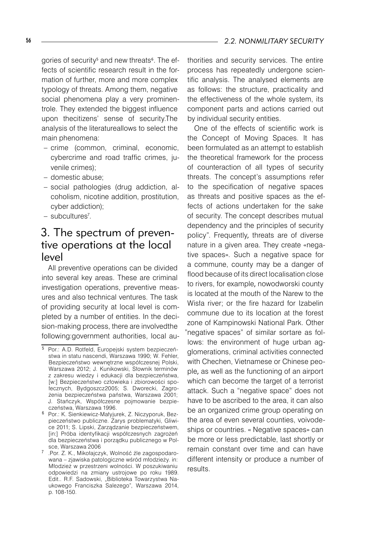gories of security<sup>s</sup> and new threats<sup>6</sup>. The effects of scientific research result in the formation of further, more and more complex typology of threats. Among them, negative social phenomena play a very prominentrole. They extended the biggest influence upon thecitizens' sense of security.The analysis of the literatureallows to select the main phenomena:

- crime (common, criminal, economic, cybercrime and road traffic crimes, juvenile crimes);
- domestic abuse;
- social pathologies (drug addiction, alcoholism, nicotine addition, prostitution, cyber addiction);
- subcultures<sup>7</sup>.

## 3. The spectrum of preventive operations at the local level

All preventive operations can be divided into several key areas. These are criminal investigation operations, preventive measures and also technical ventures. The task of providing security at local level is completed by a number of entities. In the decision-making process, there are involvedthe following:government authorities, local authorities and security services. The entire process has repeatedly undergone scientific analysis. The analysed elements are as follows: the structure, practicality and the effectiveness of the whole system, its component parts and actions carried out by individual security entities.

One of the effects of scientific work is the Concept of Moving Spaces. It has been formulated as an attempt to establish the theoretical framework for the process of counteraction of all types of security threats. The concept's assumptions refer to the specification of negative spaces as threats and positive spaces as the effects of actions undertaken for the sake of security. The concept describes mutual dependency and the principles of security policy". Frequently, threats are of diverse nature in a given area. They create «negative spaces». Such a negative space for a commune, county may be a danger of flood because of its direct localisation close to rivers, for example, nowodworski county is located at the mouth of the Narew to the Wisła river; or the fire hazard for Izabelin commune due to its location at the forest zone of Kampinowski National Park. Other "negative spaces" of similar sortare as follows: the environment of huge urban agglomerations, criminal activities connected with Chechen, Vietnamese or Chinese people, as well as the functioning of an airport which can become the target of a terrorist attack. Such a "negative space" does not have to be ascribed to the area, it can also be an organized crime group operating on the area of even several counties, voivodeships or countries. « Negative spaces» can be more or less predictable, last shortly or remain constant over time and can have different intensity or produce a number of results.

Por.: A.D. Rotfeld, Europejski system bezpieczeństwa in statu nascendi, Warszawa 1990; W. Fehler, Bezpieczeństwo wewnętrzne współczesnej Polski, Warszawa 2012; J. Kunikowski, Słownik terminów z zakresu wiedzy i edukacji dla bezpieczeństwa, [w:] Bezpieczeństwo człowieka i zbiorowości społecznych, Bydgoszcz2005; S. Dworecki, Zagrożenia bezpieczeństwa państwa, Warszawa 2001; J. Stańczyk, Współczesne pojmowanie bezpieczeństwa, Warszawa 1996.

<sup>&</sup>lt;sup>6</sup> Por.: K. Sienkiewicz-Małyjurek, Z. Niczyporuk, Bezpieczeństwo publiczne. Zarys problematyki, Gliwice 2011; S. Lipski, Zarządzanie bezpieczeństwem, [in:] Próba identyfikacji współczesnych zagrożeń dla bezpieczeństwa i porządku publicznego w Polsce, Warszawa 2006

.Por. Z. K., Mikołajczyk, Wolność źle zagospodarowana – zjawiska patologiczne wśród młodzieży. in: Młodzież w przestrzeni wolności. W poszukiwaniu odpowiedzi na zmiany ustrojowe po roku 1989. Edit.. R.F. Sadowski, "Biblioteka Towarzystwa Naukowego Franciszka Salezego", Warszawa 2014, p. 108-150.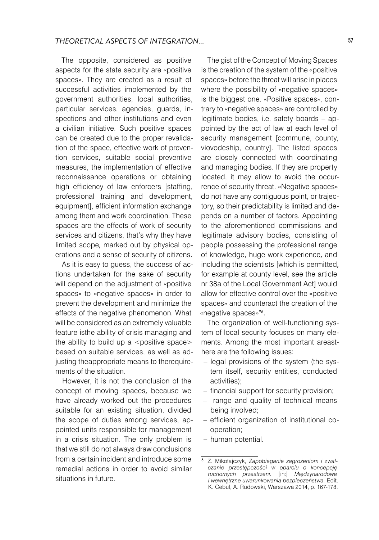The opposite, considered as positive aspects for the state security are «positive spaces». They are created as a result of successful activities implemented by the government authorities, local authorities, particular services, agencies, guards, inspections and other institutions and even a civilian initiative. Such positive spaces can be created due to the proper revalidation of the space, effective work of prevention services, suitable social preventive measures, the implementation of effective reconnaissance operations or obtaining high efficiency of law enforcers [staffing, professional training and development, equipment], efficient information exchange among them and work coordination. These spaces are the effects of work of security services and citizens, that's why they have limited scope, marked out by physical operations and a sense of security of citizens.

As it is easy to guess, the success of actions undertaken for the sake of security will depend on the adjustment of «positive spaces» to «negative spaces» in order to prevent the development and minimize the effects of the negative phenomenon. What will be considered as an extremely valuable feature isthe ability of crisis managing and the ability to build up a  $\leq$  positive space $>$ based on suitable services, as well as adjusting theappropriate means to therequirements of the situation.

However, it is not the conclusion of the concept of moving spaces, because we have already worked out the procedures suitable for an existing situation, divided the scope of duties among services, appointed units responsible for management in a crisis situation. The only problem is that we still do not always draw conclusions from a certain incident and introduce some remedial actions in order to avoid similar situations in future.

The gist of the Concept of Moving Spaces is the creation of the system of the «positive spaces» before the threat will arise in places where the possibility of «negative spaces» is the biggest one. «Positive spaces», contrary to «negative spaces» are controlled by legitimate bodies, i.e. safety boards – appointed by the act of law at each level of security management [commune, county, viovodeship, country]. The listed spaces are closely connected with coordinating and managing bodies. If they are property located, it may allow to avoid the occurrence of security threat. «Negative spaces» do not have any contiguous point, or trajectory, so their predictability is limited and depends on a number of factors. Appointing to the aforementioned commissions and legitimate advisory bodies, consisting of people possessing the professional range of knowledge, huge work experience, and including the scientists [which is permitted, for example at county level, see the article nr 38a of the Local Government Act] would allow for effective control over the «positive spaces» and counteract the creation of the «negative spaces»" .

The organization of well-functioning system of local security focuses on many elements. Among the most important areasthere are the following issues:

- legal provisions of the system (the system itself, security entities, conducted activities);
- financial support for security provision;
- range and quality of technical means being involved;
- efficient organization of institutional cooperation;
- human potential.

 Z. Mikołajczyk, *Zapobieganie zagrożeniom i zwalczanie przestępczości w oparciu o koncepcję ruchomych przestrzeni.* [in:] *Międzynarodowe i wewnętrzne uwarunkowania bezpieczeństwa.* Edit. K. Cebul, A. Rudowski, Warszawa 2014, p. 167-178.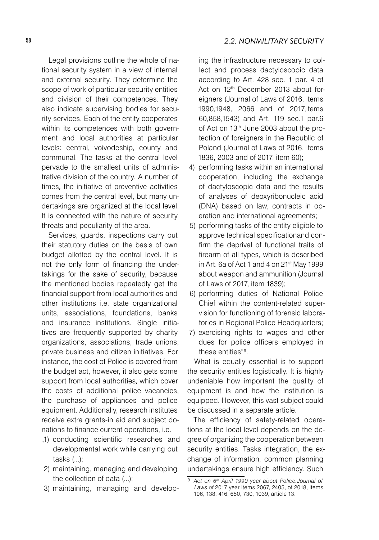Legal provisions outline the whole of national security system in a view of internal and external security. They determine the scope of work of particular security entities and division of their competences. They also indicate supervising bodies for security services. Each of the entity cooperates within its competences with both government and local authorities at particular levels: central, voivodeship, county and communal. The tasks at the central level pervade to the smallest units of administrative division of the country. A number of times, the initiative of preventive activities comes from the central level, but many undertakings are organized at the local level. It is connected with the nature of security threats and peculiarity of the area.

Services, quards, inspections carry out their statutory duties on the basis of own budget allotted by the central level. It is not the only form of financing the undertakings for the sake of security, because the mentioned bodies repeatedly get the financial support from local authorities and other institutions i.e. state organizational units, associations, foundations, banks and insurance institutions. Single initiatives are frequently supported by charity organizations, associations, trade unions, private business and citizen initiatives. For instance, the cost of Police is covered from the budget act, however, it also gets some support from local authorities, which cover the costs of additional police vacancies, the purchase of appliances and police equipment. Additionally, research institutes receive extra grants-in aid and subject donations to finance current operations, i.e.

- "1) conducting scientific researches and developmental work while carrying out tasks (...);
- 2) maintaining, managing and developing the collection of data (...);
- 3) maintaining, managing and develop-

#### 58 *2.2. NONMILITARY SECURITY*

ing the infrastructure necessary to collect and process dactyloscopic data according to Art. 428 sec. 1 par. 4 of Act on 12<sup>th</sup> December 2013 about foreigners (Journal of Laws of 2016, items 1990,1948, 2066 and of 2017,items 60,858,1543) and Art. 119 sec.1 par.6 of Act on 13<sup>th</sup> June 2003 about the protection of foreigners in the Republic of Poland (Journal of Laws of 2016, items 1836, 2003 and of 2017, item 60);

- 4) performing tasks within an international cooperation, including the exchange of dactyloscopic data and the results of analyses of deoxyribonucleic acid (DNA) based on law, contracts in operation and international agreements;
- 5) performing tasks of the entity eligible to approve technical specificationand confirm the deprival of functional traits of firearm of all types, which is described in Art. 6a of Act 1 and 4 on 21st May 1999 about weapon and ammunition (Journal of Laws of 2017, item 1839);
- 6) performing duties of National Police Chief within the content-related supervision for functioning of forensic laboratories in Regional Police Headquarters;
- 7) exercising rights to wages and other dues for police officers employed in these entities"9 .

What is equally essential is to support the security entities logistically. It is highly undeniable how important the quality of equipment is and how the institution is equipped. However, this vast subject could be discussed in a separate article.

The efficiency of safety-related operations at the local level depends on the degree of organizing the cooperation between security entities. Tasks integration, the exchange of information, common planning undertakings ensure high efficiency. Such

<sup>&</sup>lt;sup>9</sup> Act on 6<sup>th</sup> April 1990 year about Police.Journal of *Laws of* 2017 year items 2067, 2405, of 2018, items 106, 138, 416, 650, 730, 1039, article 13.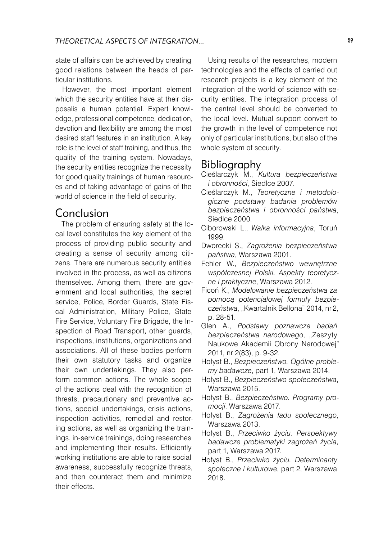state of affairs can be achieved by creating good relations between the heads of particular institutions.

However, the most important element which the security entities have at their disposalis a human potential. Expert knowledge, professional competence, dedication, devotion and flexibility are among the most desired staff features in an institution. A key role is the level of staff training, and thus, the quality of the training system. Nowadays, the security entities recognize the necessity for good quality trainings of human resources and of taking advantage of gains of the world of science in the field of security.

#### Conclusion

The problem of ensuring safety at the local level constitutes the key element of the process of providing public security and creating a sense of security among citizens. There are numerous security entities involved in the process, as well as citizens themselves. Among them, there are government and local authorities, the secret service, Police, Border Guards, State Fiscal Administration, Military Police, State Fire Service, Voluntary Fire Brigade, the Inspection of Road Transport, other guards, inspections, institutions, organizations and associations. All of these bodies perform their own statutory tasks and organize their own undertakings. They also perform common actions. The whole scope of the actions deal with the recognition of threats, precautionary and preventive actions, special undertakings, crisis actions, inspection activities, remedial and restoring actions, as well as organizing the trainings, in-service trainings, doing researches and implementing their results. Efficiently working institutions are able to raise social awareness, successfully recognize threats, and then counteract them and minimize their effects.

Using results of the researches, modern technologies and the effects of carried out research projects is a key element of the integration of the world of science with security entities. The integration process of the central level should be converted to the local level. Mutual support convert to the growth in the level of competence not only of particular institutions, but also of the whole system of security.

#### Bibliography

- Cieślarczyk M., *Kultura bezpieczeństwa i obronności*, Siedlce 2007.
- Cieślarczyk M., *Teoretyczne i metodologiczne podstawy badania problemów bezpieczeństwa i obronności państwa*, Siedlce 2000.
- Ciborowski L., *Walka informacyjna*, Toruń 1999.
- Dworecki S., *Zagrożenia bezpieczeństwa państwa*, Warszawa 2001.
- Fehler W., *Bezpieczeństwo wewnętrzne współczesnej Polski. Aspekty teoretyczne i praktyczne*, Warszawa 2012.
- Ficoń K., *Modelowanie bezpieczeństwa za pomocą potencjałowej formuły bezpieczeństwa*, "Kwartalnik Bellona" 2014, nr 2, p. 28-51.
- Glen A., *Podstawy poznawcze badań bezpieczeństwa narodowego*, "Zeszyty Naukowe Akademii Obrony Narodowej" 2011, nr 2(83), p. 9-32.
- Hołyst B., *Bezpieczeństwo. Ogólne problemy badawcze*, part 1, Warszawa 2014.
- Hołyst B., *Bezpieczeństwo społeczeństwa*, Warszawa 2015.
- Hołyst B., *Bezpieczeństwo. Programy promocji*, Warszawa 2017.
- Hołyst B., *Zagrożenia ładu społecznego*, Warszawa 2013.
- Hołyst B., *Przeciwko życiu. Perspektywy badawcze problematyki zagrożeń życia*, part 1, Warszawa 2017.
- Hołyst B., *Przeciwko życiu. Determinanty społeczne i kulturowe*, part 2, Warszawa 2018.